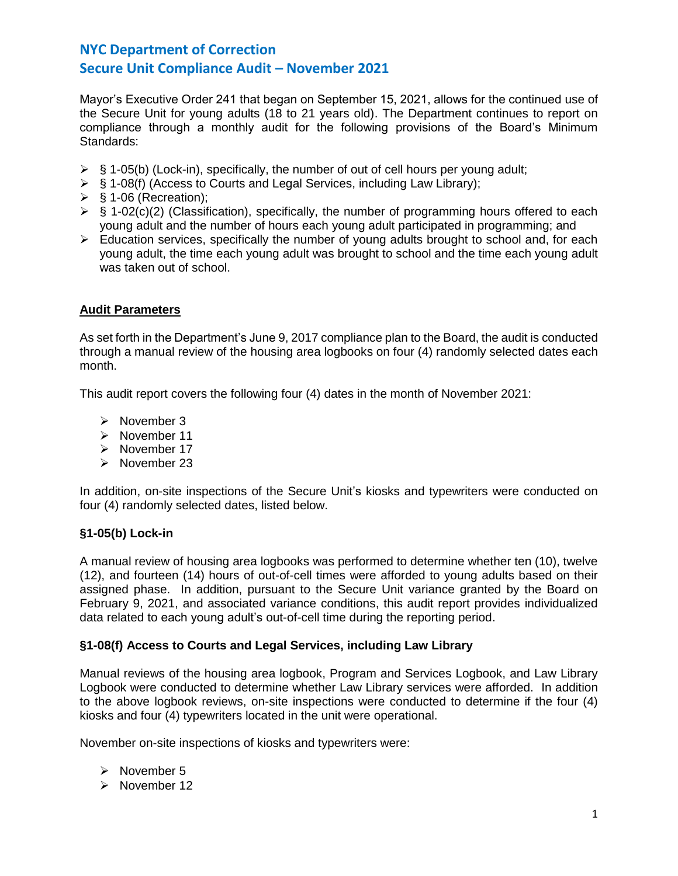Mayor's Executive Order 241 that began on September 15, 2021, allows for the continued use of the Secure Unit for young adults (18 to 21 years old). The Department continues to report on compliance through a monthly audit for the following provisions of the Board's Minimum Standards:

- $\triangleright$  § 1-05(b) (Lock-in), specifically, the number of out of cell hours per young adult;
- ➢ § 1-08(f) (Access to Courts and Legal Services, including Law Library);
- $\triangleright$  § 1-06 (Recreation);
- $\triangleright$  § 1-02(c)(2) (Classification), specifically, the number of programming hours offered to each young adult and the number of hours each young adult participated in programming; and
- $\triangleright$  Education services, specifically the number of young adults brought to school and, for each young adult, the time each young adult was brought to school and the time each young adult was taken out of school.

# **Audit Parameters**

As set forth in the Department's June 9, 2017 compliance plan to the Board, the audit is conducted through a manual review of the housing area logbooks on four (4) randomly selected dates each month.

This audit report covers the following four (4) dates in the month of November 2021:

- ➢ November 3
- ➢ November 11
- ➢ November 17
- ➢ November 23

In addition, on-site inspections of the Secure Unit's kiosks and typewriters were conducted on four (4) randomly selected dates, listed below.

# **§1-05(b) Lock-in**

A manual review of housing area logbooks was performed to determine whether ten (10), twelve (12), and fourteen (14) hours of out-of-cell times were afforded to young adults based on their assigned phase. In addition, pursuant to the Secure Unit variance granted by the Board on February 9, 2021, and associated variance conditions, this audit report provides individualized data related to each young adult's out-of-cell time during the reporting period.

# **§1-08(f) Access to Courts and Legal Services, including Law Library**

Manual reviews of the housing area logbook, Program and Services Logbook, and Law Library Logbook were conducted to determine whether Law Library services were afforded. In addition to the above logbook reviews, on-site inspections were conducted to determine if the four (4) kiosks and four (4) typewriters located in the unit were operational.

November on-site inspections of kiosks and typewriters were:

- ➢ November 5
- ➢ November 12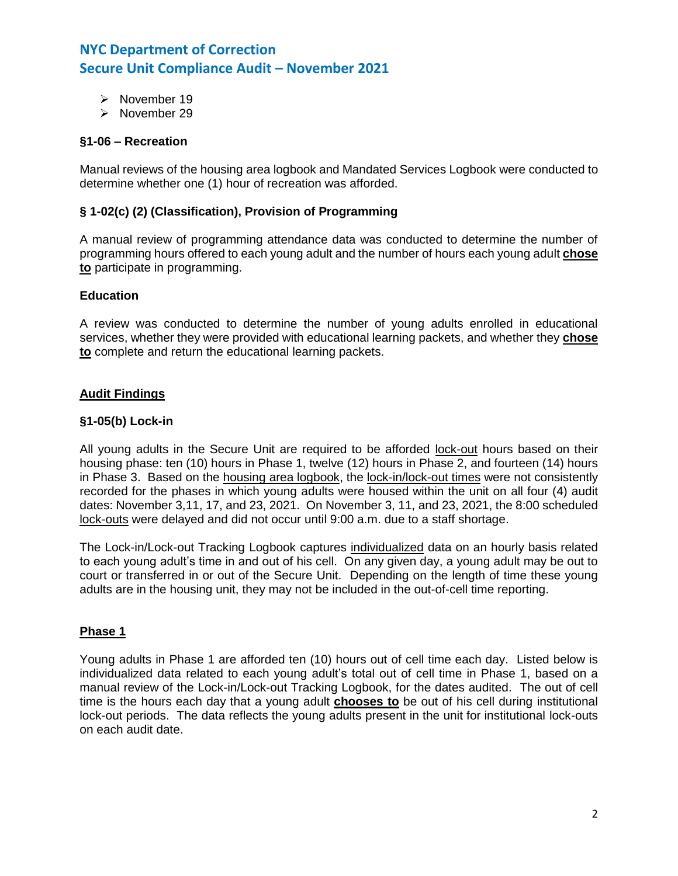- ➢ November 19
- ➢ November 29

# **§1-06 – Recreation**

Manual reviews of the housing area logbook and Mandated Services Logbook were conducted to determine whether one (1) hour of recreation was afforded.

## **§ 1-02(c) (2) (Classification), Provision of Programming**

A manual review of programming attendance data was conducted to determine the number of programming hours offered to each young adult and the number of hours each young adult **chose to** participate in programming.

### **Education**

A review was conducted to determine the number of young adults enrolled in educational services, whether they were provided with educational learning packets, and whether they **chose to** complete and return the educational learning packets.

# **Audit Findings**

## **§1-05(b) Lock-in**

All young adults in the Secure Unit are required to be afforded lock-out hours based on their housing phase: ten (10) hours in Phase 1, twelve (12) hours in Phase 2, and fourteen (14) hours in Phase 3. Based on the housing area logbook, the lock-in/lock-out times were not consistently recorded for the phases in which young adults were housed within the unit on all four (4) audit dates: November 3,11, 17, and 23, 2021. On November 3, 11, and 23, 2021, the 8:00 scheduled lock-outs were delayed and did not occur until 9:00 a.m. due to a staff shortage.

The Lock-in/Lock-out Tracking Logbook captures individualized data on an hourly basis related to each young adult's time in and out of his cell. On any given day, a young adult may be out to court or transferred in or out of the Secure Unit. Depending on the length of time these young adults are in the housing unit, they may not be included in the out-of-cell time reporting.

### **Phase 1**

Young adults in Phase 1 are afforded ten (10) hours out of cell time each day. Listed below is individualized data related to each young adult's total out of cell time in Phase 1, based on a manual review of the Lock-in/Lock-out Tracking Logbook, for the dates audited. The out of cell time is the hours each day that a young adult **chooses to** be out of his cell during institutional lock-out periods. The data reflects the young adults present in the unit for institutional lock-outs on each audit date.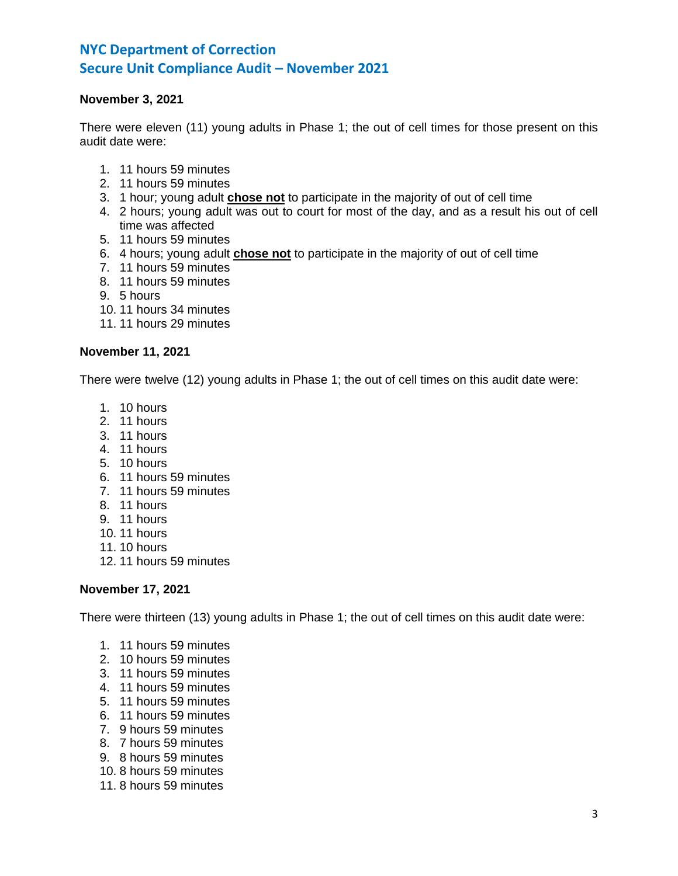# **November 3, 2021**

There were eleven (11) young adults in Phase 1; the out of cell times for those present on this audit date were:

- 1. 11 hours 59 minutes
- 2. 11 hours 59 minutes
- 3. 1 hour; young adult **chose not** to participate in the majority of out of cell time
- 4. 2 hours; young adult was out to court for most of the day, and as a result his out of cell time was affected
- 5. 11 hours 59 minutes
- 6. 4 hours; young adult **chose not** to participate in the majority of out of cell time
- 7. 11 hours 59 minutes
- 8. 11 hours 59 minutes
- 9. 5 hours
- 10. 11 hours 34 minutes
- 11. 11 hours 29 minutes

## **November 11, 2021**

There were twelve (12) young adults in Phase 1; the out of cell times on this audit date were:

- 1. 10 hours
- 2. 11 hours
- 3. 11 hours
- 4. 11 hours
- 5. 10 hours
- 6. 11 hours 59 minutes
- 7. 11 hours 59 minutes
- 8. 11 hours
- 9. 11 hours
- 10. 11 hours
- 11. 10 hours
- 12. 11 hours 59 minutes

### **November 17, 2021**

There were thirteen (13) young adults in Phase 1; the out of cell times on this audit date were:

- 1. 11 hours 59 minutes
- 2. 10 hours 59 minutes
- 3. 11 hours 59 minutes
- 4. 11 hours 59 minutes
- 5. 11 hours 59 minutes
- 6. 11 hours 59 minutes
- 7. 9 hours 59 minutes
- 8. 7 hours 59 minutes
- 9. 8 hours 59 minutes
- 10. 8 hours 59 minutes
- 11. 8 hours 59 minutes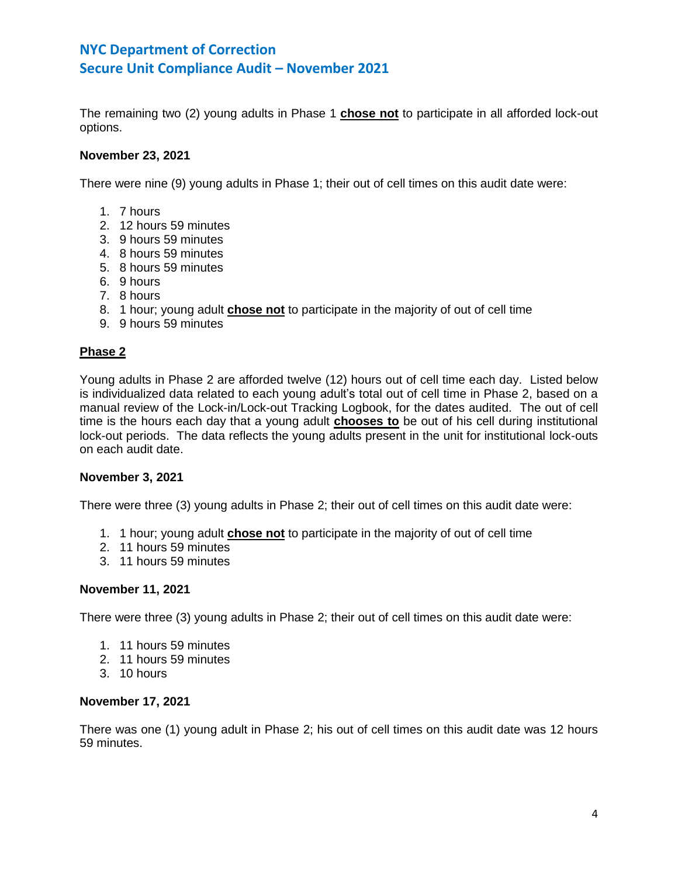The remaining two (2) young adults in Phase 1 **chose not** to participate in all afforded lock-out options.

## **November 23, 2021**

There were nine (9) young adults in Phase 1; their out of cell times on this audit date were:

- 1. 7 hours
- 2. 12 hours 59 minutes
- 3. 9 hours 59 minutes
- 4. 8 hours 59 minutes
- 5. 8 hours 59 minutes
- 6. 9 hours
- 7. 8 hours
- 8. 1 hour; young adult **chose not** to participate in the majority of out of cell time
- 9. 9 hours 59 minutes

## **Phase 2**

Young adults in Phase 2 are afforded twelve (12) hours out of cell time each day. Listed below is individualized data related to each young adult's total out of cell time in Phase 2, based on a manual review of the Lock-in/Lock-out Tracking Logbook, for the dates audited. The out of cell time is the hours each day that a young adult **chooses to** be out of his cell during institutional lock-out periods. The data reflects the young adults present in the unit for institutional lock-outs on each audit date.

### **November 3, 2021**

There were three (3) young adults in Phase 2; their out of cell times on this audit date were:

- 1. 1 hour; young adult **chose not** to participate in the majority of out of cell time
- 2. 11 hours 59 minutes
- 3. 11 hours 59 minutes

### **November 11, 2021**

There were three (3) young adults in Phase 2; their out of cell times on this audit date were:

- 1. 11 hours 59 minutes
- 2. 11 hours 59 minutes
- 3. 10 hours

### **November 17, 2021**

There was one (1) young adult in Phase 2; his out of cell times on this audit date was 12 hours 59 minutes.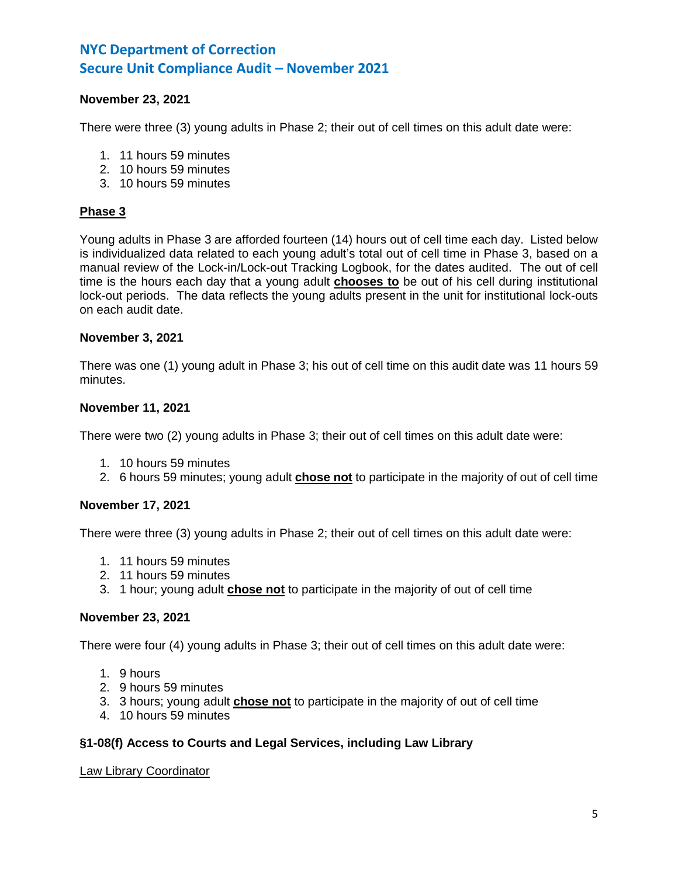# **November 23, 2021**

There were three (3) young adults in Phase 2; their out of cell times on this adult date were:

- 1. 11 hours 59 minutes
- 2. 10 hours 59 minutes
- 3. 10 hours 59 minutes

### **Phase 3**

Young adults in Phase 3 are afforded fourteen (14) hours out of cell time each day. Listed below is individualized data related to each young adult's total out of cell time in Phase 3, based on a manual review of the Lock-in/Lock-out Tracking Logbook, for the dates audited. The out of cell time is the hours each day that a young adult **chooses to** be out of his cell during institutional lock-out periods. The data reflects the young adults present in the unit for institutional lock-outs on each audit date.

#### **November 3, 2021**

There was one (1) young adult in Phase 3; his out of cell time on this audit date was 11 hours 59 minutes.

### **November 11, 2021**

There were two (2) young adults in Phase 3; their out of cell times on this adult date were:

- 1. 10 hours 59 minutes
- 2. 6 hours 59 minutes; young adult **chose not** to participate in the majority of out of cell time

### **November 17, 2021**

There were three (3) young adults in Phase 2; their out of cell times on this adult date were:

- 1. 11 hours 59 minutes
- 2. 11 hours 59 minutes
- 3. 1 hour; young adult **chose not** to participate in the majority of out of cell time

#### **November 23, 2021**

There were four (4) young adults in Phase 3; their out of cell times on this adult date were:

- 1. 9 hours
- 2. 9 hours 59 minutes
- 3. 3 hours; young adult **chose not** to participate in the majority of out of cell time
- 4. 10 hours 59 minutes

## **§1-08(f) Access to Courts and Legal Services, including Law Library**

### Law Library Coordinator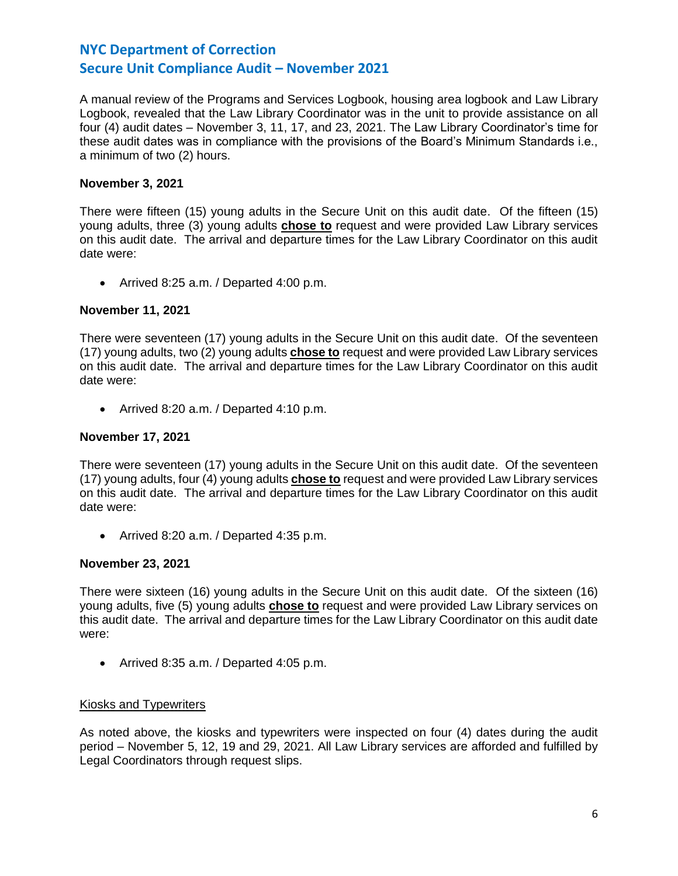A manual review of the Programs and Services Logbook, housing area logbook and Law Library Logbook, revealed that the Law Library Coordinator was in the unit to provide assistance on all four (4) audit dates – November 3, 11, 17, and 23, 2021. The Law Library Coordinator's time for these audit dates was in compliance with the provisions of the Board's Minimum Standards i.e., a minimum of two (2) hours.

# **November 3, 2021**

There were fifteen (15) young adults in the Secure Unit on this audit date. Of the fifteen (15) young adults, three (3) young adults **chose to** request and were provided Law Library services on this audit date. The arrival and departure times for the Law Library Coordinator on this audit date were:

• Arrived 8:25 a.m. / Departed 4:00 p.m.

# **November 11, 2021**

There were seventeen (17) young adults in the Secure Unit on this audit date. Of the seventeen (17) young adults, two (2) young adults **chose to** request and were provided Law Library services on this audit date. The arrival and departure times for the Law Library Coordinator on this audit date were:

• Arrived 8:20 a.m. / Departed 4:10 p.m.

# **November 17, 2021**

There were seventeen (17) young adults in the Secure Unit on this audit date. Of the seventeen (17) young adults, four (4) young adults **chose to** request and were provided Law Library services on this audit date. The arrival and departure times for the Law Library Coordinator on this audit date were:

• Arrived 8:20 a.m. / Departed 4:35 p.m.

# **November 23, 2021**

There were sixteen (16) young adults in the Secure Unit on this audit date. Of the sixteen (16) young adults, five (5) young adults **chose to** request and were provided Law Library services on this audit date. The arrival and departure times for the Law Library Coordinator on this audit date were:

• Arrived 8:35 a.m. / Departed 4:05 p.m.

# Kiosks and Typewriters

As noted above, the kiosks and typewriters were inspected on four (4) dates during the audit period – November 5, 12, 19 and 29, 2021. All Law Library services are afforded and fulfilled by Legal Coordinators through request slips.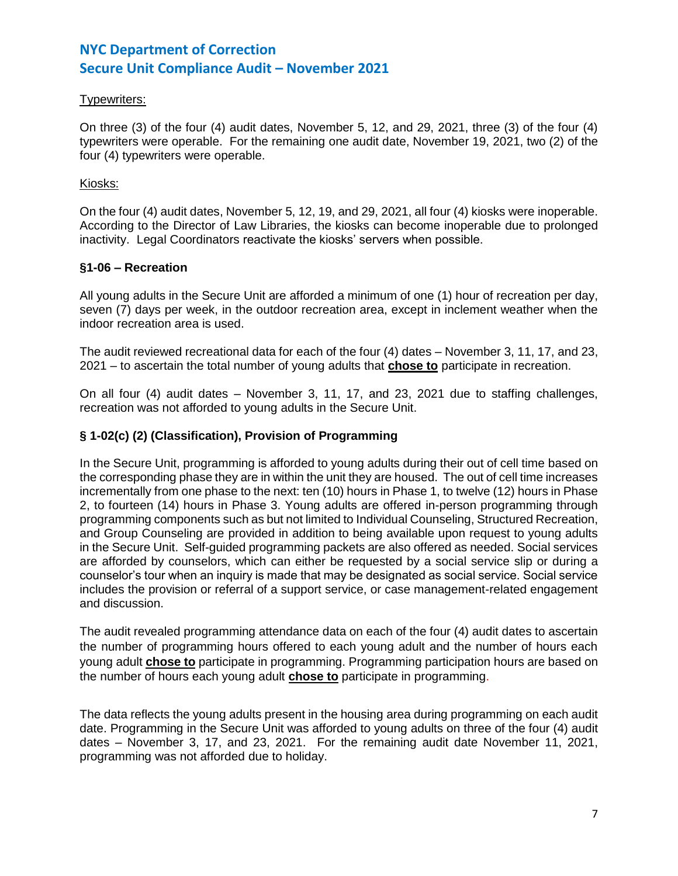# Typewriters:

On three (3) of the four (4) audit dates, November 5, 12, and 29, 2021, three (3) of the four (4) typewriters were operable. For the remaining one audit date, November 19, 2021, two (2) of the four (4) typewriters were operable.

# Kiosks:

On the four (4) audit dates, November 5, 12, 19, and 29, 2021, all four (4) kiosks were inoperable. According to the Director of Law Libraries, the kiosks can become inoperable due to prolonged inactivity. Legal Coordinators reactivate the kiosks' servers when possible.

# **§1-06 – Recreation**

All young adults in the Secure Unit are afforded a minimum of one (1) hour of recreation per day, seven (7) days per week, in the outdoor recreation area, except in inclement weather when the indoor recreation area is used.

The audit reviewed recreational data for each of the four (4) dates – November 3, 11, 17, and 23, 2021 – to ascertain the total number of young adults that **chose to** participate in recreation.

On all four (4) audit dates – November 3, 11, 17, and 23, 2021 due to staffing challenges, recreation was not afforded to young adults in the Secure Unit.

# **§ 1-02(c) (2) (Classification), Provision of Programming**

In the Secure Unit, programming is afforded to young adults during their out of cell time based on the corresponding phase they are in within the unit they are housed. The out of cell time increases incrementally from one phase to the next: ten (10) hours in Phase 1, to twelve (12) hours in Phase 2, to fourteen (14) hours in Phase 3. Young adults are offered in-person programming through programming components such as but not limited to Individual Counseling, Structured Recreation, and Group Counseling are provided in addition to being available upon request to young adults in the Secure Unit. Self-guided programming packets are also offered as needed. Social services are afforded by counselors, which can either be requested by a social service slip or during a counselor's tour when an inquiry is made that may be designated as social service. Social service includes the provision or referral of a support service, or case management-related engagement and discussion.

The audit revealed programming attendance data on each of the four (4) audit dates to ascertain the number of programming hours offered to each young adult and the number of hours each young adult **chose to** participate in programming. Programming participation hours are based on the number of hours each young adult **chose to** participate in programming.

The data reflects the young adults present in the housing area during programming on each audit date. Programming in the Secure Unit was afforded to young adults on three of the four (4) audit dates – November 3, 17, and 23, 2021. For the remaining audit date November 11, 2021, programming was not afforded due to holiday.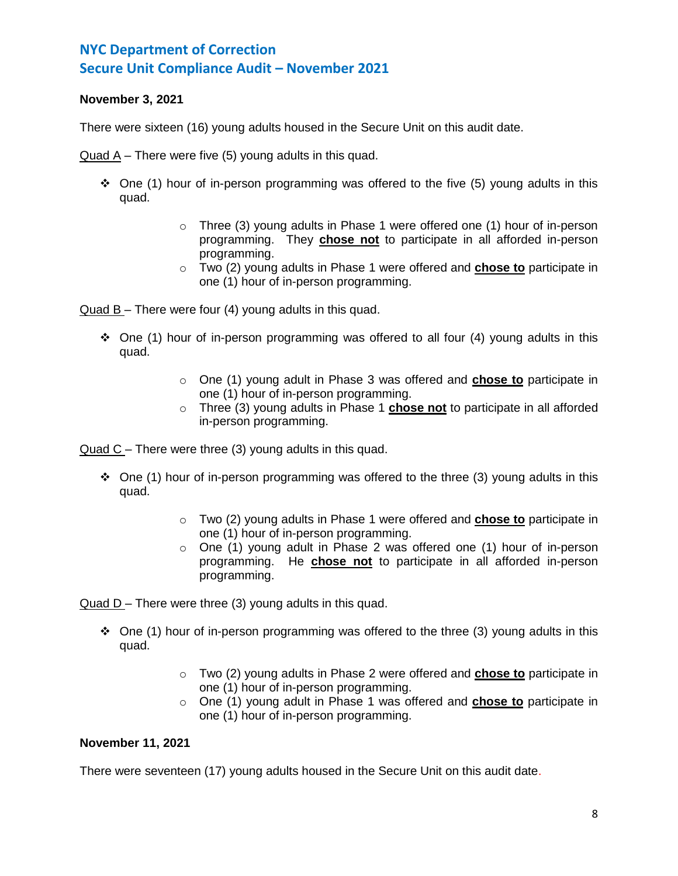# **November 3, 2021**

There were sixteen (16) young adults housed in the Secure Unit on this audit date.

Quad A – There were five (5) young adults in this quad.

- $\div$  One (1) hour of in-person programming was offered to the five (5) young adults in this quad.
	- $\circ$  Three (3) young adults in Phase 1 were offered one (1) hour of in-person programming. They **chose not** to participate in all afforded in-person programming.
	- o Two (2) young adults in Phase 1 were offered and **chose to** participate in one (1) hour of in-person programming.

Quad B – There were four (4) young adults in this quad.

- $\div$  One (1) hour of in-person programming was offered to all four (4) young adults in this quad.
	- o One (1) young adult in Phase 3 was offered and **chose to** participate in one (1) hour of in-person programming.
	- o Three (3) young adults in Phase 1 **chose not** to participate in all afforded in-person programming.

Quad C – There were three (3) young adults in this quad.

- $\div$  One (1) hour of in-person programming was offered to the three (3) young adults in this quad.
	- o Two (2) young adults in Phase 1 were offered and **chose to** participate in one (1) hour of in-person programming.
	- o One (1) young adult in Phase 2 was offered one (1) hour of in-person programming. He **chose not** to participate in all afforded in-person programming.

Quad D – There were three (3) young adults in this quad.

- ◆ One (1) hour of in-person programming was offered to the three (3) young adults in this quad.
	- o Two (2) young adults in Phase 2 were offered and **chose to** participate in one (1) hour of in-person programming.
	- o One (1) young adult in Phase 1 was offered and **chose to** participate in one (1) hour of in-person programming.

# **November 11, 2021**

There were seventeen (17) young adults housed in the Secure Unit on this audit date.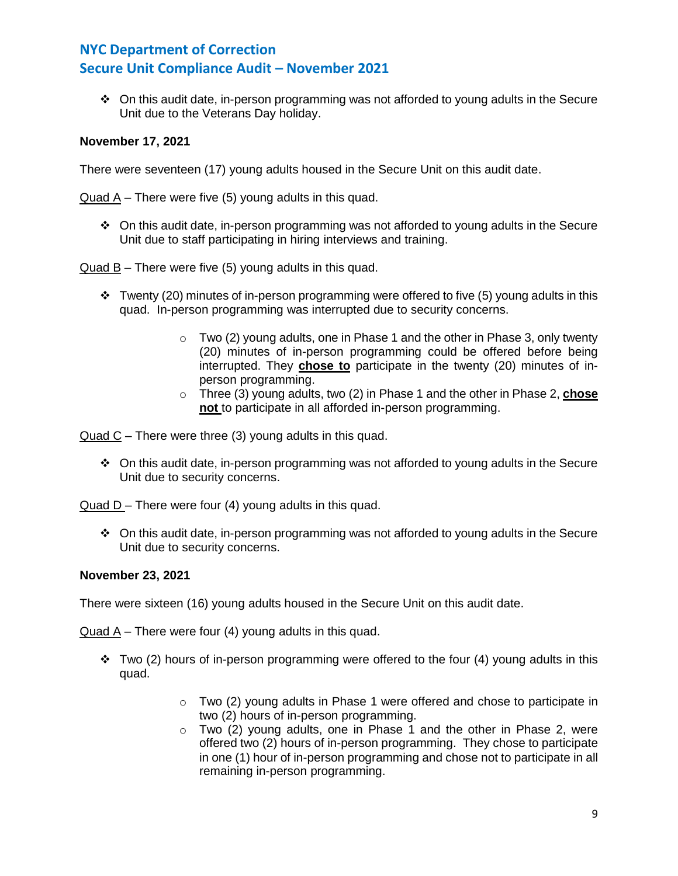❖ On this audit date, in-person programming was not afforded to young adults in the Secure Unit due to the Veterans Day holiday.

# **November 17, 2021**

There were seventeen (17) young adults housed in the Secure Unit on this audit date.

Quad A – There were five (5) young adults in this quad.

❖ On this audit date, in-person programming was not afforded to young adults in the Secure Unit due to staff participating in hiring interviews and training.

Quad B – There were five (5) young adults in this quad.

- $\div$  Twenty (20) minutes of in-person programming were offered to five (5) young adults in this quad. In-person programming was interrupted due to security concerns.
	- $\circ$  Two (2) young adults, one in Phase 1 and the other in Phase 3, only twenty (20) minutes of in-person programming could be offered before being interrupted. They **chose to** participate in the twenty (20) minutes of inperson programming.
	- o Three (3) young adults, two (2) in Phase 1 and the other in Phase 2, **chose not** to participate in all afforded in-person programming.

Quad C – There were three (3) young adults in this quad.

❖ On this audit date, in-person programming was not afforded to young adults in the Secure Unit due to security concerns.

Quad D – There were four (4) young adults in this quad.

❖ On this audit date, in-person programming was not afforded to young adults in the Secure Unit due to security concerns.

# **November 23, 2021**

There were sixteen (16) young adults housed in the Secure Unit on this audit date.

Quad  $A$  – There were four (4) young adults in this quad.

- ❖ Two (2) hours of in-person programming were offered to the four (4) young adults in this quad.
	- $\circ$  Two (2) young adults in Phase 1 were offered and chose to participate in two (2) hours of in-person programming.
	- $\circ$  Two (2) young adults, one in Phase 1 and the other in Phase 2, were offered two (2) hours of in-person programming. They chose to participate in one (1) hour of in-person programming and chose not to participate in all remaining in-person programming.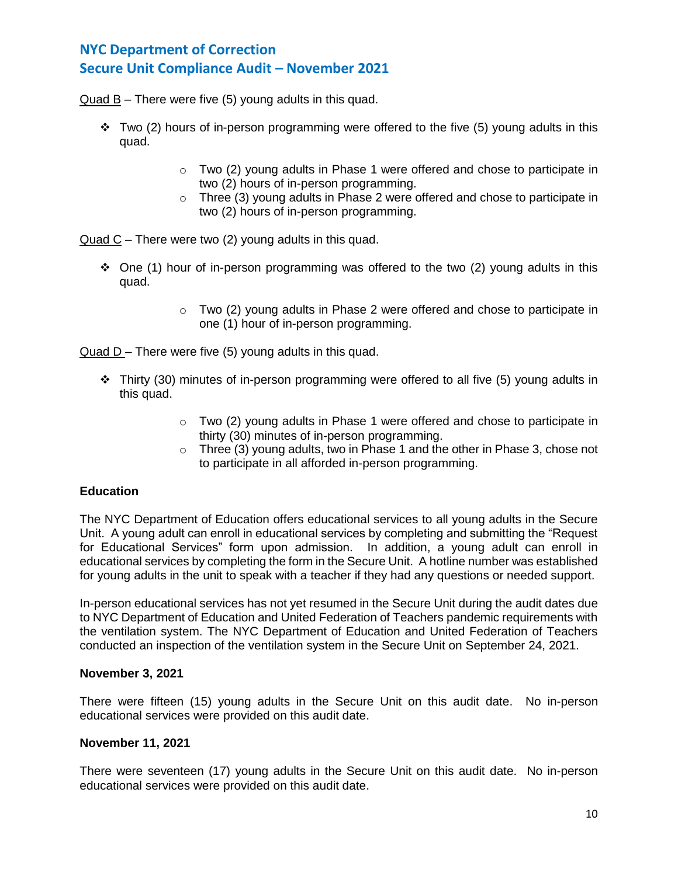Quad B – There were five (5) young adults in this quad.

- $\div$  Two (2) hours of in-person programming were offered to the five (5) young adults in this quad.
	- $\circ$  Two (2) young adults in Phase 1 were offered and chose to participate in two (2) hours of in-person programming.
	- $\circ$  Three (3) young adults in Phase 2 were offered and chose to participate in two (2) hours of in-person programming.

Quad C – There were two (2) young adults in this quad.

- One (1) hour of in-person programming was offered to the two (2) young adults in this quad.
	- $\circ$  Two (2) young adults in Phase 2 were offered and chose to participate in one (1) hour of in-person programming.

Quad D – There were five (5) young adults in this quad.

- ❖ Thirty (30) minutes of in-person programming were offered to all five (5) young adults in this quad.
	- $\circ$  Two (2) young adults in Phase 1 were offered and chose to participate in thirty (30) minutes of in-person programming.
	- $\circ$  Three (3) young adults, two in Phase 1 and the other in Phase 3, chose not to participate in all afforded in-person programming.

# **Education**

The NYC Department of Education offers educational services to all young adults in the Secure Unit. A young adult can enroll in educational services by completing and submitting the "Request for Educational Services" form upon admission. In addition, a young adult can enroll in educational services by completing the form in the Secure Unit. A hotline number was established for young adults in the unit to speak with a teacher if they had any questions or needed support.

In-person educational services has not yet resumed in the Secure Unit during the audit dates due to NYC Department of Education and United Federation of Teachers pandemic requirements with the ventilation system. The NYC Department of Education and United Federation of Teachers conducted an inspection of the ventilation system in the Secure Unit on September 24, 2021.

### **November 3, 2021**

There were fifteen (15) young adults in the Secure Unit on this audit date. No in-person educational services were provided on this audit date.

## **November 11, 2021**

There were seventeen (17) young adults in the Secure Unit on this audit date. No in-person educational services were provided on this audit date.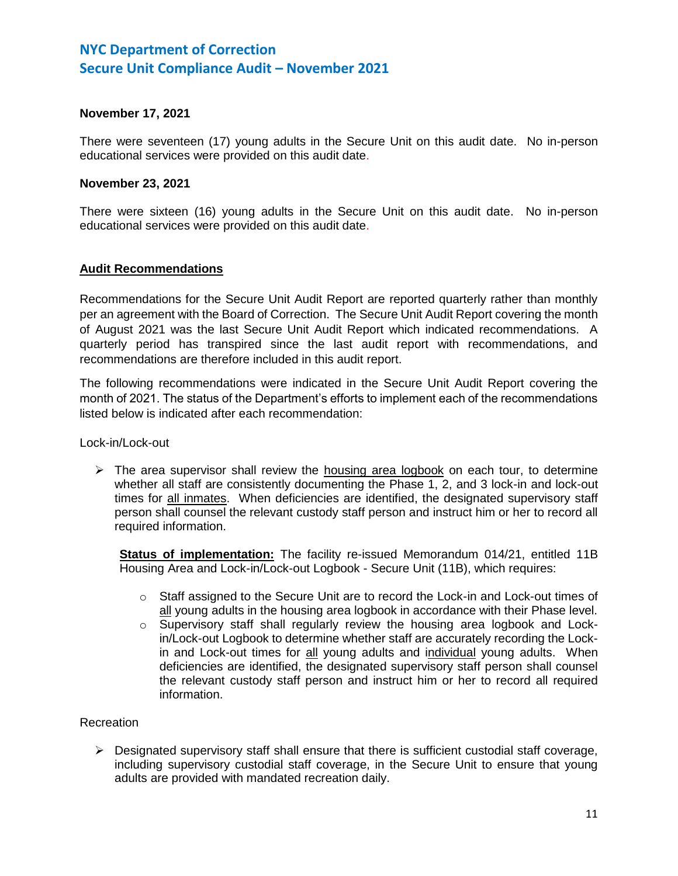## **November 17, 2021**

There were seventeen (17) young adults in the Secure Unit on this audit date. No in-person educational services were provided on this audit date.

### **November 23, 2021**

There were sixteen (16) young adults in the Secure Unit on this audit date. No in-person educational services were provided on this audit date.

## **Audit Recommendations**

Recommendations for the Secure Unit Audit Report are reported quarterly rather than monthly per an agreement with the Board of Correction. The Secure Unit Audit Report covering the month of August 2021 was the last Secure Unit Audit Report which indicated recommendations. A quarterly period has transpired since the last audit report with recommendations, and recommendations are therefore included in this audit report.

The following recommendations were indicated in the Secure Unit Audit Report covering the month of 2021. The status of the Department's efforts to implement each of the recommendations listed below is indicated after each recommendation:

Lock-in/Lock-out

 $\triangleright$  The area supervisor shall review the housing area logbook on each tour, to determine whether all staff are consistently documenting the Phase 1, 2, and 3 lock-in and lock-out times for all inmates. When deficiencies are identified, the designated supervisory staff person shall counsel the relevant custody staff person and instruct him or her to record all required information.

**Status of implementation:** The facility re-issued Memorandum 014/21, entitled 11B Housing Area and Lock-in/Lock-out Logbook - Secure Unit (11B), which requires:

- o Staff assigned to the Secure Unit are to record the Lock-in and Lock-out times of all young adults in the housing area logbook in accordance with their Phase level.
- $\circ$  Supervisory staff shall regularly review the housing area logbook and Lockin/Lock-out Logbook to determine whether staff are accurately recording the Lockin and Lock-out times for all young adults and individual young adults. When deficiencies are identified, the designated supervisory staff person shall counsel the relevant custody staff person and instruct him or her to record all required information.

### Recreation

 $\triangleright$  Designated supervisory staff shall ensure that there is sufficient custodial staff coverage, including supervisory custodial staff coverage, in the Secure Unit to ensure that young adults are provided with mandated recreation daily.